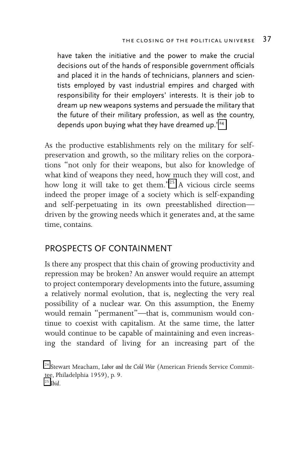have taken the initiative and the power to make the crucial decisions out of the hands of responsible government officials and placed it in the hands of technicians, planners and scientists employed by vast industrial empires and charged with responsibility for their employers' interests. It is their job to dream up new weapons systems and persuade the military that the future of their military profession, as well as the country, depends upon buying what they have dreamed up."24

As the productive establishments rely on the military for selfpreservation and growth, so the military relies on the corporations "not only for their weapons, but also for knowledge of what kind of weapons they need, how much they will cost, and how long it will take to get them."25 A vicious circle seems indeed the proper image of a society which is self-expanding and self-perpetuating in its own preestablished direction driven by the growing needs which it generates and, at the same time, contains.

## PROSPECTS OF CONTAINMENT

Is there any prospect that this chain of growing productivity and repression may be broken? An answer would require an attempt to project contemporary developments into the future, assuming a relatively normal evolution, that is, neglecting the very real possibility of a nuclear war. On this assumption, the Enemy would remain "permanent"—that is, communism would continue to coexist with capitalism. At the same time, the latter would continue to be capable of maintaining and even increasing the standard of living for an increasing part of the

<sup>&</sup>lt;sup>24</sup> Stewart Meacham, Labor and the Cold War (American Friends Service Committee, Philadelphia 1959), p. 9. <sup>25</sup> *Ibid*.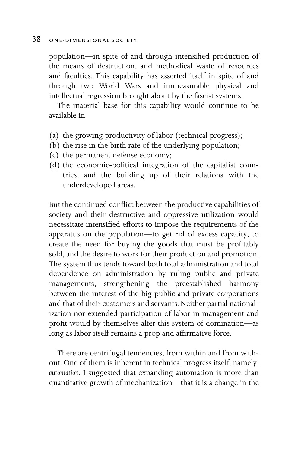population—in spite of and through intensified production of the means of destruction, and methodical waste of resources and faculties. This capability has asserted itself in spite of and through two World Wars and immeasurable physical and intellectual regression brought about by the fascist systems.

The material base for this capability would continue to be available in

- (a) the growing productivity of labor (technical progress);
- (b) the rise in the birth rate of the underlying population;
- (c) the permanent defense economy;
- (d) the economic-political integration of the capitalist countries, and the building up of their relations with the underdeveloped areas.

But the continued conflict between the productive capabilities of society and their destructive and oppressive utilization would necessitate intensified efforts to impose the requirements of the apparatus on the population—to get rid of excess capacity, to create the need for buying the goods that must be profitably sold, and the desire to work for their production and promotion. The system thus tends toward both total administration and total dependence on administration by ruling public and private managements, strengthening the preestablished harmony between the interest of the big public and private corporations and that of their customers and servants. Neither partial nationalization nor extended participation of labor in management and profit would by themselves alter this system of domination—as long as labor itself remains a prop and affirmative force.

There are centrifugal tendencies, from within and from without. One of them is inherent in technical progress itself, namely, *automation*. I suggested that expanding automation is more than quantitative growth of mechanization—that it is a change in the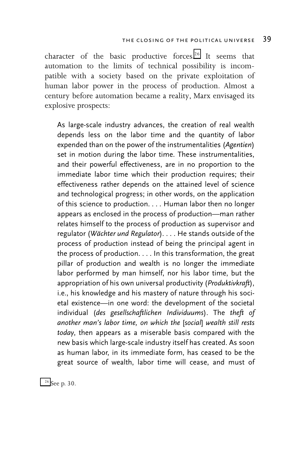character of the basic productive forces.<sup>26</sup> It seems that automation to the limits of technical possibility is incompatible with a society based on the private exploitation of human labor power in the process of production. Almost a century before automation became a reality, Marx envisaged its explosive prospects:

As large-scale industry advances, the creation of real wealth depends less on the labor time and the quantity of labor expended than on the power of the instrumentalities (*Agentien*) set in motion during the labor time. These instrumentalities, and their powerful effectiveness, are in no proportion to the immediate labor time which their production requires; their effectiveness rather depends on the attained level of science and technological progress; in other words, on the application of this science to production. . . . Human labor then no longer appears as enclosed in the process of production—man rather relates himself to the process of production as supervisor and regulator (*Wächter und Regulator*). . . . He stands outside of the process of production instead of being the principal agent in the process of production. . . . In this transformation, the great pillar of production and wealth is no longer the immediate labor performed by man himself, nor his labor time, but the appropriation of his own universal productivity (*Produktivkraft*), i.e., his knowledge and his mastery of nature through his societal existence—in one word: the development of the societal individual (*des gesellschaftlichen Individuums*). The *theft of another man's labor time, on which the* [*social*] *wealth still rests today*, then appears as a miserable basis compared with the new basis which large-scale industry itself has created. As soon as human labor, in its immediate form, has ceased to be the great source of wealth, labor time will cease, and must of

<sup>26</sup> See p. 30.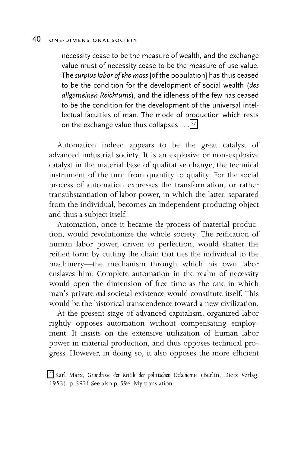necessity cease to be the measure of wealth, and the exchange value must of necessity cease to be the measure of use value. The *surplus labor of the mass* [of the population] has thus ceased to be the condition for the development of social wealth (*des allgemeinen Reichtums*), and the idleness of the few has ceased to be the condition for the development of the universal intellectual faculties of man. The mode of production which rests on the exchange value thus collapses  $\ldots$ <sup>27</sup>

Automation indeed appears to be the great catalyst of advanced industrial society. It is an explosive or non-explosive catalyst in the material base of qualitative change, the technical instrument of the turn from quantity to quality. For the social process of automation expresses the transformation, or rather transubstantiation of labor power, in which the latter, separated from the individual, becomes an independent producing object and thus a subject itself.

Automation, once it became *the* process of material production, would revolutionize the whole society. The reification of human labor power, driven to perfection, would shatter the reified form by cutting the chain that ties the individual to the machinery—the mechanism through which his own labor enslaves him. Complete automation in the realm of necessity would open the dimension of free time as the one in which man's private *and* societal existence would constitute itself. This would be the historical transcendence toward a new civilization.

At the present stage of advanced capitalism, organized labor rightly opposes automation without compensating employment. It insists on the extensive utilization of human labor power in material production, and thus opposes technical progress. However, in doing so, it also opposes the more efficient

<sup>27</sup> Karl Marx, *Grundrisse der Kritik der politischen Oekonomie* (Berlin, Dietz Verlag, 1953), p. 592f. See also p. 596. My translation.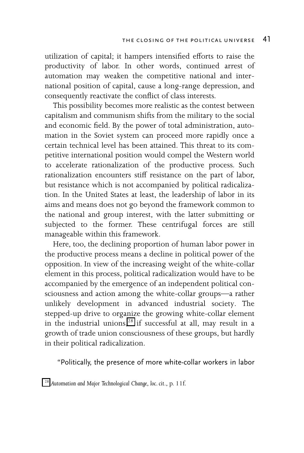utilization of capital; it hampers intensified efforts to raise the productivity of labor. In other words, continued arrest of automation may weaken the competitive national and international position of capital, cause a long-range depression, and consequently reactivate the conflict of class interests.

This possibility becomes more realistic as the contest between capitalism and communism shifts from the military to the social and economic field. By the power of total administration, automation in the Soviet system can proceed more rapidly once a certain technical level has been attained. This threat to its competitive international position would compel the Western world to accelerate rationalization of the productive process. Such rationalization encounters stiff resistance on the part of labor, but resistance which is not accompanied by political radicalization. In the United States at least, the leadership of labor in its aims and means does not go beyond the framework common to the national and group interest, with the latter submitting or subjected to the former. These centrifugal forces are still manageable within this framework.

Here, too, the declining proportion of human labor power in the productive process means a decline in political power of the opposition. In view of the increasing weight of the white-collar element in this process, political radicalization would have to be accompanied by the emergence of an independent political consciousness and action among the white-collar groups—a rather unlikely development in advanced industrial society. The stepped-up drive to organize the growing white-collar element in the industrial unions, $^{28}$  if successful at all, may result in a growth of trade union consciousness of these groups, but hardly in their political radicalization.

"Politically, the presence of more white-collar workers in labor

<sup>28</sup> *Automation and Major Technological Change*, *loc. cit*., p. 11f.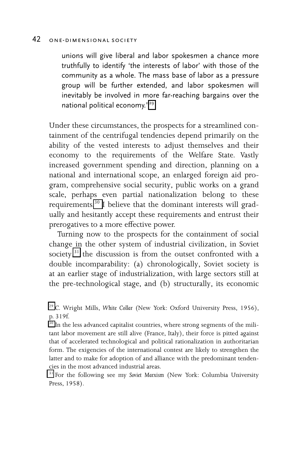## 42 one-dimensional society

unions will give liberal and labor spokesmen a chance more truthfully to identify 'the interests of labor' with those of the community as a whole. The mass base of labor as a pressure group will be further extended, and labor spokesmen will inevitably be involved in more far-reaching bargains over the national political economy."<sup>29</sup>

Under these circumstances, the prospects for a streamlined containment of the centrifugal tendencies depend primarily on the ability of the vested interests to adjust themselves and their economy to the requirements of the Welfare State. Vastly increased government spending and direction, planning on a national and international scope, an enlarged foreign aid program, comprehensive social security, public works on a grand scale, perhaps even partial nationalization belong to these requirements.30 I believe that the dominant interests will gradually and hesitantly accept these requirements and entrust their prerogatives to a more effective power.

Turning now to the prospects for the containment of social change in the other system of industrial civilization, in Soviet society, $31$  the discussion is from the outset confronted with a double incomparability: (a) chronologically, Soviet society is at an earlier stage of industrialization, with large sectors still at the pre-technological stage, and (b) structurally, its economic

<sup>29</sup> C. Wright Mills, White Collar (New York: Oxford University Press, 1956), p. 319f.

 $30$  In the less advanced capitalist countries, where strong segments of the militant labor movement are still alive (France, Italy), their force is pitted against that of accelerated technological and political rationalization in authoritarian form. The exigencies of the international contest are likely to strengthen the latter and to make for adoption of and alliance with the predominant tendencies in the most advanced industrial areas.

<sup>31</sup> For the following see my *Soviet Marxism* (New York: Columbia University Press, 1958).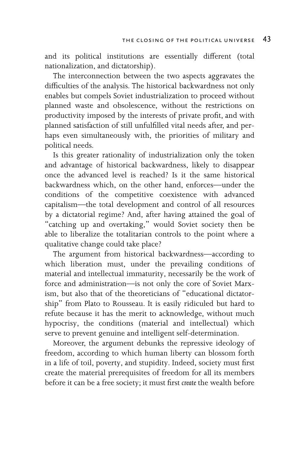and its political institutions are essentially different (total nationalization, and dictatorship).

The interconnection between the two aspects aggravates the difficulties of the analysis. The historical backwardness not only enables but compels Soviet industrialization to proceed without planned waste and obsolescence, without the restrictions on productivity imposed by the interests of private profit, and with planned satisfaction of still unfulfilled vital needs after, and perhaps even simultaneously with, the priorities of military and political needs.

Is this greater rationality of industrialization only the token and advantage of historical backwardness, likely to disappear once the advanced level is reached? Is it the same historical backwardness which, on the other hand, enforces—under the conditions of the competitive coexistence with advanced capitalism—the total development and control of all resources by a dictatorial regime? And, after having attained the goal of "catching up and overtaking," would Soviet society then be able to liberalize the totalitarian controls to the point where a qualitative change could take place?

The argument from historical backwardness—according to which liberation must, under the prevailing conditions of material and intellectual immaturity, necessarily be the work of force and administration—is not only the core of Soviet Marxism, but also that of the theoreticians of "educational dictatorship" from Plato to Rousseau. It is easily ridiculed but hard to refute because it has the merit to acknowledge, without much hypocrisy, the conditions (material and intellectual) which serve to prevent genuine and intelligent self-determination.

Moreover, the argument debunks the repressive ideology of freedom, according to which human liberty can blossom forth in a life of toil, poverty, and stupidity. Indeed, society must first create the material prerequisites of freedom for all its members before it can be a free society; it must first *create* the wealth before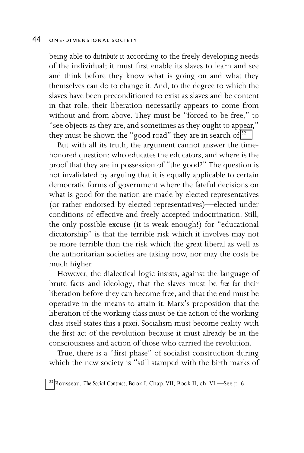being able to *distribute* it according to the freely developing needs of the individual; it must first enable its slaves to learn and see and think before they know what is going on and what they themselves can do to change it. And, to the degree to which the slaves have been preconditioned to exist as slaves and be content in that role, their liberation necessarily appears to come from without and from above. They must be "forced to be free," to "see objects as they are, and sometimes as they ought to appear," they must be shown the "good road" they are in search of.<sup>32</sup>

But with all its truth, the argument cannot answer the timehonored question: who educates the educators, and where is the proof that they are in possession of "the good?" The question is not invalidated by arguing that it is equally applicable to certain democratic forms of government where the fateful decisions on what is good for the nation are made by elected representatives (or rather endorsed by elected representatives)—elected under conditions of effective and freely accepted indoctrination. Still, the only possible excuse (it is weak enough!) for "educational dictatorship" is that the terrible risk which it involves may not be more terrible than the risk which the great liberal as well as the authoritarian societies are taking now, nor may the costs be much higher.

However, the dialectical logic insists, against the language of brute facts and ideology, that the slaves must be *free for* their liberation before they can become free, and that the end must be operative in the means to attain it. Marx's proposition that the liberation of the working class must be the action of the working class itself states this *a priori*. Socialism must become reality with the first act of the revolution because it must already be in the consciousness and action of those who carried the revolution.

True, there is a "first phase" of socialist construction during which the new society is "still stamped with the birth marks of

<sup>32</sup> Rousseau, *The Social Contract*, Book I, Chap. VII; Book II, ch. VI.—See p. 6.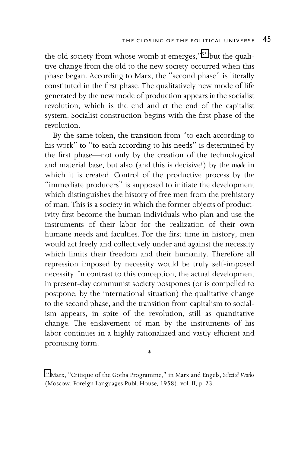the old society from whose womb it emerges,"<sup>33</sup> but the qualitive change from the old to the new society occurred when this phase began. According to Marx, the "second phase" is literally constituted in the first phase. The qualitatively new mode of life generated by the new mode of production appears *in* the socialist revolution, which is the end and *at* the end of the capitalist system. Socialist construction begins with the first phase of the revolution.

By the same token, the transition from "to each according to his work" to "to each according to his needs" is determined by the first phase—not only by the creation of the technological and material base, but also (and this is decisive!) by the *mode* in which it is created. Control of the productive process by the "immediate producers" is supposed to initiate the development which distinguishes the history of free men from the prehistory of man. This is a society in which the former objects of productivity first become the human individuals who plan and use the instruments of their labor for the realization of their own humane needs and faculties. For the first time in history, men would act freely and collectively under and against the necessity which limits their freedom and their humanity. Therefore all repression imposed by necessity would be truly self-imposed necessity. In contrast to this conception, the actual development in present-day communist society postpones (or is compelled to postpone, by the international situation) the qualitative change to the second phase, and the transition from capitalism to socialism appears, in spite of the revolution, still as quantitative change. The enslavement of man by the instruments of his labor continues in a highly rationalized and vastly efficient and promising form.

\*

<sup>33</sup> Marx, "Critique of the Gotha Programme," in Marx and Engels, *Selected Works* (Moscow: Foreign Languages Publ. House, 1958), vol. II, p. 23.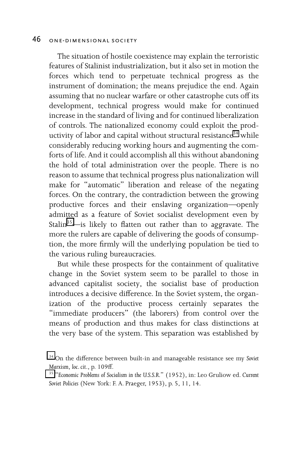The situation of hostile coexistence may explain the terroristic features of Stalinist industrialization, but it also set in motion the forces which tend to perpetuate technical progress as the instrument of domination; the means prejudice the end. Again assuming that no nuclear warfare or other catastrophe cuts off its development, technical progress would make for continued increase in the standard of living and for continued liberalization of controls. The nationalized economy could exploit the productivity of labor and capital without structural resistance<sup>34</sup> while considerably reducing working hours and augmenting the comforts of life. And it could accomplish all this without abandoning the hold of total administration over the people. There is no reason to assume that technical progress plus nationalization will make for "automatic" liberation and release of the negating forces. On the contrary, the contradiction between the growing productive forces and their enslaving organization—openly admitted as a feature of Soviet socialist development even by Stalin<sup>35</sup>—is likely to flatten out rather than to aggravate. The more the rulers are capable of delivering the goods of consumption, the more firmly will the underlying population be tied to the various ruling bureaucracies.

But while these prospects for the containment of qualitative change in the Soviet system seem to be parallel to those in advanced capitalist society, the socialist base of production introduces a decisive difference. In the Soviet system, the organization of the productive process certainly separates the "immediate producers" (the laborers) from control over the means of production and thus makes for class distinctions at the very base of the system. This separation was established by

<sup>34</sup> On the difference between built-in and manageable resistance see my *Soviet Marxism*, *loc. cit*., p. 109ff.

<sup>35</sup> "*Economic Problems of Socialism in the U.S.S.R.*" (1952), in: Leo Gruliow ed. *Current Soviet Policies* (New York: F. A. Praeger, 1953), p. 5, 11, 14.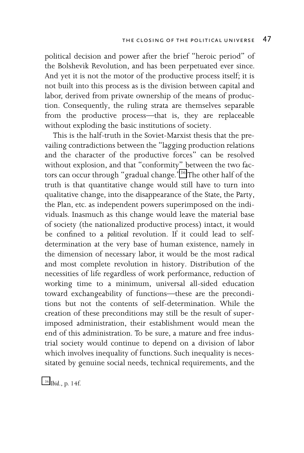political decision and power after the brief "heroic period" of the Bolshevik Revolution, and has been perpetuated ever since. And yet it is not the motor of the productive process itself; it is not built into this process as is the division between capital and labor, derived from private ownership of the means of production. Consequently, the ruling strata are themselves separable from the productive process—that is, they are replaceable without exploding the basic institutions of society.

This is the half-truth in the Soviet-Marxist thesis that the prevailing contradictions between the "lagging production relations and the character of the productive forces" can be resolved without explosion, and that "conformity" between the two factors can occur through "gradual change."36 The other half of the truth is that quantitative change would still have to turn into qualitative change, into the disappearance of the State, the Party, the Plan, etc. as independent powers superimposed on the individuals. Inasmuch as this change would leave the material base of society (the nationalized productive process) intact, it would be confined to a *political* revolution. If it could lead to selfdetermination at the very base of human existence, namely in the dimension of necessary labor, it would be the most radical and most complete revolution in history. Distribution of the necessities of life regardless of work performance, reduction of working time to a minimum, universal all-sided education toward exchangeability of functions—these are the preconditions but not the contents of self-determination. While the creation of these preconditions may still be the result of superimposed administration, their establishment would mean the end of this administration. To be sure, a mature and free industrial society would continue to depend on a division of labor which involves inequality of functions. Such inequality is necessitated by genuine social needs, technical requirements, and the

<sup>36</sup> *Ibid.*, p. 14f.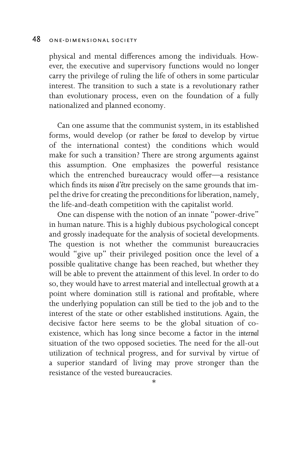physical and mental differences among the individuals. However, the executive and supervisory functions would no longer carry the privilege of ruling the life of others in some particular interest. The transition to such a state is a revolutionary rather than evolutionary process, even on the foundation of a fully nationalized and planned economy.

Can one assume that the communist system, in its established forms, would develop (or rather be *forced* to develop by virtue of the international contest) the conditions which would make for such a transition? There are strong arguments against this assumption. One emphasizes the powerful resistance which the entrenched bureaucracy would offer—a resistance which finds its *raison d'être* precisely on the same grounds that impel the drive for creating the preconditions for liberation, namely, the life-and-death competition with the capitalist world.

One can dispense with the notion of an innate "power-drive" in human nature. This is a highly dubious psychological concept and grossly inadequate for the analysis of societal developments. The question is not whether the communist bureaucracies would "give up" their privileged position once the level of a possible qualitative change has been reached, but whether they will be able to prevent the attainment of this level. In order to do so, they would have to arrest material and intellectual growth at a point where domination still is rational and profitable, where the underlying population can still be tied to the job and to the interest of the state or other established institutions. Again, the decisive factor here seems to be the global situation of coexistence, which has long since become a factor in the *internal* situation of the two opposed societies. The need for the all-out utilization of technical progress, and for survival by virtue of a superior standard of living may prove stronger than the resistance of the vested bureaucracies.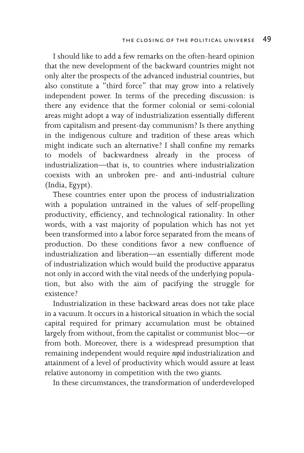I should like to add a few remarks on the often-heard opinion that the new development of the backward countries might not only alter the prospects of the advanced industrial countries, but also constitute a "third force" that may grow into a relatively independent power. In terms of the preceding discussion: is there any evidence that the former colonial or semi-colonial areas might adopt a way of industrialization essentially different from capitalism and present-day communism? Is there anything in the indigenous culture and tradition of these areas which might indicate such an alternative? I shall confine my remarks to models of backwardness already in the process of industrialization—that is, to countries where industrialization coexists with an unbroken pre- and anti-industrial culture (India, Egypt).

These countries enter upon the process of industrialization with a population untrained in the values of self-propelling productivity, efficiency, and technological rationality. In other words, with a vast majority of population which has not yet been transformed into a labor force separated from the means of production. Do these conditions favor a new confluence of industrialization and liberation—an essentially different mode of industrialization which would build the productive apparatus not only in accord with the vital needs of the underlying population, but also with the aim of pacifying the struggle for existence?

Industrialization in these backward areas does not take place in a vacuum. It occurs in a historical situation in which the social capital required for primary accumulation must be obtained largely from without, from the capitalist or communist bloc—or from both. Moreover, there is a widespread presumption that remaining independent would require *rapid* industrialization and attainment of a level of productivity which would assure at least relative autonomy in competition with the two giants.

In these circumstances, the transformation of underdeveloped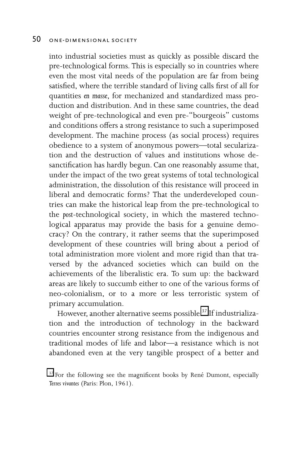## 50 one-dimensional society

into industrial societies must as quickly as possible discard the pre-technological forms. This is especially so in countries where even the most vital needs of the population are far from being satisfied, where the terrible standard of living calls first of all for quantities *en masse*, for mechanized and standardized mass production and distribution. And in these same countries, the dead weight of pre-technological and even pre-"bourgeois" customs and conditions offers a strong resistance to such a superimposed development. The machine process (as social process) requires obedience to a system of anonymous powers—total secularization and the destruction of values and institutions whose desanctification has hardly begun. Can one reasonably assume that, under the impact of the two great systems of total technological administration, the dissolution of this resistance will proceed in liberal and democratic forms? That the underdeveloped countries can make the historical leap from the pre-technological to the *post*-technological society, in which the mastered technological apparatus may provide the basis for a genuine democracy? On the contrary, it rather seems that the superimposed development of these countries will bring about a period of total administration more violent and more rigid than that traversed by the advanced societies which can build on the achievements of the liberalistic era. To sum up: the backward areas are likely to succumb either to one of the various forms of neo-colonialism, or to a more or less terroristic system of primary accumulation.

However, another alternative seems possible.<sup>37</sup> If industrialization and the introduction of technology in the backward countries encounter strong resistance from the indigenous and traditional modes of life and labor—a resistance which is not abandoned even at the very tangible prospect of a better and

<sup>&</sup>lt;sup>37</sup> For the following see the magnificent books by René Dumont, especially *Terres vivantes* (Paris: Plon, 1961).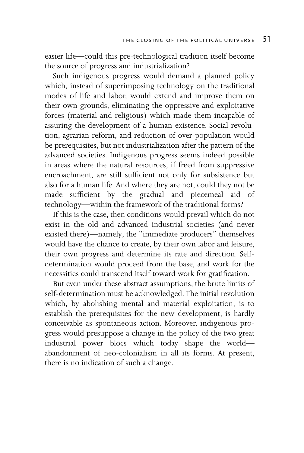easier life—could this pre-technological tradition itself become the source of progress and industrialization?

Such indigenous progress would demand a planned policy which, instead of superimposing technology on the traditional modes of life and labor, would extend and improve them on their own grounds, eliminating the oppressive and exploitative forces (material and religious) which made them incapable of assuring the development of a human existence. Social revolution, agrarian reform, and reduction of over-population would be prerequisites, but not industrialization after the pattern of the advanced societies. Indigenous progress seems indeed possible in areas where the natural resources, if freed from suppressive encroachment, are still sufficient not only for subsistence but also for a human life. And where they are not, could they not be made sufficient by the gradual and piecemeal aid of technology—within the framework of the traditional forms?

If this is the case, then conditions would prevail which do not exist in the old and advanced industrial societies (and never existed there)—namely, the "immediate producers" themselves would have the chance to create, by their own labor and leisure, their own progress and determine its rate and direction. Selfdetermination would proceed from the base, and work for the necessities could transcend itself toward work for gratification.

But even under these abstract assumptions, the brute limits of self-determination must be acknowledged. The initial revolution which, by abolishing mental and material exploitation, is to establish the prerequisites for the new development, is hardly conceivable as spontaneous action. Moreover, indigenous progress would presuppose a change in the policy of the two great industrial power blocs which today shape the world abandonment of neo-colonialism in all its forms. At present, there is no indication of such a change.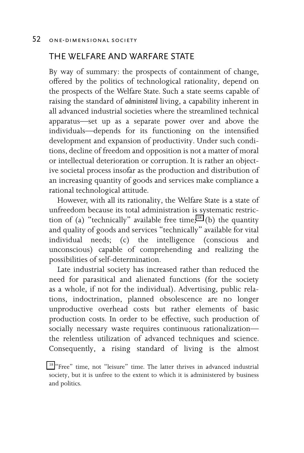## THE WELFARE AND WARFARE STATE

By way of summary: the prospects of containment of change, offered by the politics of technological rationality, depend on the prospects of the Welfare State. Such a state seems capable of raising the standard of *administered* living, a capability inherent in all advanced industrial societies where the streamlined technical apparatus—set up as a separate power over and above the individuals—depends for its functioning on the intensified development and expansion of productivity. Under such conditions, decline of freedom and opposition is not a matter of moral or intellectual deterioration or corruption. It is rather an objective societal process insofar as the production and distribution of an increasing quantity of goods and services make compliance a rational technological attitude.

However, with all its rationality, the Welfare State is a state of unfreedom because its total administration is systematic restriction of (a) "technically" available free time; $38$  (b) the quantity and quality of goods and services "technically" available for vital individual needs; (c) the intelligence (conscious and unconscious) capable of comprehending and realizing the possibilities of self-determination.

Late industrial society has increased rather than reduced the need for parasitical and alienated functions (for the society as a whole, if not for the individual). Advertising, public relations, indoctrination, planned obsolescence are no longer unproductive overhead costs but rather elements of basic production costs. In order to be effective, such production of socially necessary waste requires continuous rationalization the relentless utilization of advanced techniques and science. Consequently, a rising standard of living is the almost

<sup>38</sup> "Free" time, not "leisure" time. The latter thrives in advanced industrial society, but it is unfree to the extent to which it is administered by business and politics.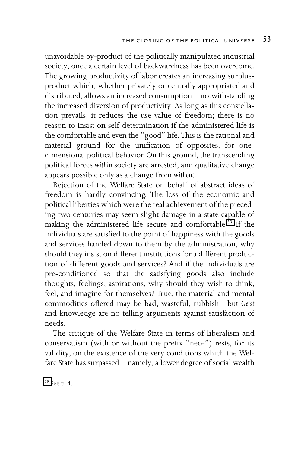unavoidable by-product of the politically manipulated industrial society, once a certain level of backwardness has been overcome. The growing productivity of labor creates an increasing surplusproduct which, whether privately or centrally appropriated and distributed, allows an increased consumption—notwithstanding the increased diversion of productivity. As long as this constellation prevails, it reduces the use-value of freedom; there is no reason to insist on self-determination if the administered life is the comfortable and even the "good" life. This is the rational and material ground for the unification of opposites, for onedimensional political behavior. On this ground, the transcending political forces *within* society are arrested, and qualitative change appears possible only as a change from *without*.

Rejection of the Welfare State on behalf of abstract ideas of freedom is hardly convincing. The loss of the economic and political liberties which were the real achievement of the preceding two centuries may seem slight damage in a state capable of making the administered life secure and comfortable.<sup>39</sup> If the individuals are satisfied to the point of happiness with the goods and services handed down to them by the administration, why should they insist on different institutions for a different production of different goods and services? And if the individuals are pre-conditioned so that the satisfying goods also include thoughts, feelings, aspirations, why should they wish to think, feel, and imagine for themselves? True, the material and mental commodities offered may be bad, wasteful, rubbish—but *Geist* and knowledge are no telling arguments against satisfaction of needs.

The critique of the Welfare State in terms of liberalism and conservatism (with or without the prefix "neo-") rests, for its validity, on the existence of the very conditions which the Welfare State has surpassed—namely, a lower degree of social wealth

 $39$  See p. 4.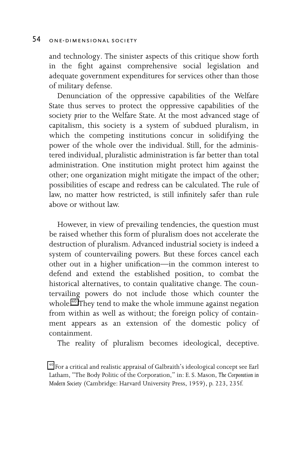and technology. The sinister aspects of this critique show forth in the fight against comprehensive social legislation and adequate government expenditures for services other than those of military defense.

Denunciation of the oppressive capabilities of the Welfare State thus serves to protect the oppressive capabilities of the society *prior* to the Welfare State. At the most advanced stage of capitalism, this society is a system of subdued pluralism, in which the competing institutions concur in solidifying the power of the whole over the individual. Still, for the administered individual, pluralistic administration is far better than total administration. One institution might protect him against the other; one organization might mitigate the impact of the other; possibilities of escape and redress can be calculated. The rule of law, no matter how restricted, is still infinitely safer than rule above or without law.

However, in view of prevailing tendencies, the question must be raised whether this form of pluralism does not accelerate the destruction of pluralism. Advanced industrial society is indeed a system of countervailing powers. But these forces cancel each other out in a higher unification—in the common interest to defend and extend the established position, to combat the historical alternatives, to contain qualitative change. The countervailing powers do not include those which counter the whole.<sup>40</sup> They tend to make the whole immune against negation from within as well as without; the foreign policy of containment appears as an extension of the domestic policy of containment.

The reality of pluralism becomes ideological, deceptive.

<sup>40</sup> For a critical and realistic appraisal of Galbraith's ideological concept see Earl Latham, "The Body Politic of the Corporation," in: E. S. Mason, *The Corporation in Modern Society* (Cambridge: Harvard University Press, 1959), p. 223, 235f.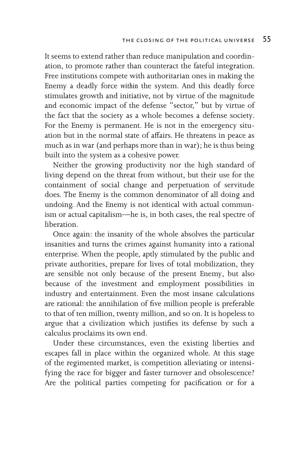It seems to extend rather than reduce manipulation and coordination, to promote rather than counteract the fateful integration. Free institutions compete with authoritarian ones in making the Enemy a deadly force *within* the system. And this deadly force stimulates growth and initiative, not by virtue of the magnitude and economic impact of the defense "sector," but by virtue of the fact that the society as a whole becomes a defense society. For the Enemy is permanent. He is not in the emergency situation but in the normal state of affairs. He threatens in peace as much as in war (and perhaps more than in war); he is thus being built into the system as a cohesive power.

Neither the growing productivity nor the high standard of living depend on the threat from without, but their use for the containment of social change and perpetuation of servitude does. The Enemy is the common denominator of all doing and undoing. And the Enemy is not identical with actual communism or actual capitalism—he is, in both cases, the real spectre of liberation.

Once again: the insanity of the whole absolves the particular insanities and turns the crimes against humanity into a rational enterprise. When the people, aptly stimulated by the public and private authorities, prepare for lives of total mobilization, they are sensible not only because of the present Enemy, but also because of the investment and employment possibilities in industry and entertainment. Even the most insane calculations are rational: the annihilation of five million people is preferable to that of ten million, twenty million, and so on. It is hopeless to argue that a civilization which justifies its defense by such a calculus proclaims its own end.

Under these circumstances, even the existing liberties and escapes fall in place within the organized whole. At this stage of the regimented market, is competition alleviating or intensifying the race for bigger and faster turnover and obsolescence? Are the political parties competing for pacification or for a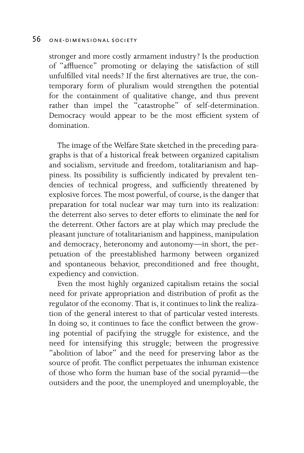stronger and more costly armament industry? Is the production of "affluence" promoting or delaying the satisfaction of still unfulfilled vital needs? If the first alternatives are true, the contemporary form of pluralism would strengthen the potential for the containment of qualitative change, and thus prevent rather than impel the "catastrophe" of self-determination. Democracy would appear to be the most efficient system of domination.

The image of the Welfare State sketched in the preceding paragraphs is that of a historical freak between organized capitalism and socialism, servitude and freedom, totalitarianism and happiness. Its possibility is sufficiently indicated by prevalent tendencies of technical progress, and sufficiently threatened by explosive forces. The most powerful, of course, is the danger that preparation for total nuclear war may turn into its realization: the deterrent also serves to deter efforts to eliminate the *need* for the deterrent. Other factors are at play which may preclude the pleasant juncture of totalitarianism and happiness, manipulation and democracy, heteronomy and autonomy—in short, the perpetuation of the preestablished harmony between organized and spontaneous behavior, preconditioned and free thought, expediency and conviction.

Even the most highly organized capitalism retains the social need for private appropriation and distribution of profit as the regulator of the economy. That is, it continues to link the realization of the general interest to that of particular vested interests. In doing so, it continues to face the conflict between the growing potential of pacifying the struggle for existence, and the need for intensifying this struggle; between the progressive "abolition of labor" and the need for preserving labor as the source of profit. The conflict perpetuates the inhuman existence of those who form the human base of the social pyramid—the outsiders and the poor, the unemployed and unemployable, the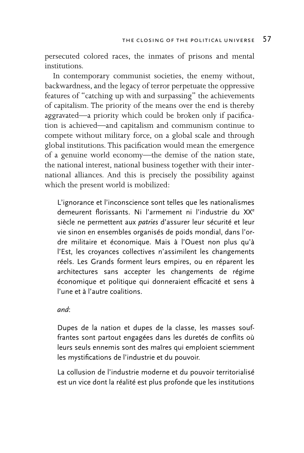persecuted colored races, the inmates of prisons and mental institutions.

In contemporary communist societies, the enemy without, backwardness, and the legacy of terror perpetuate the oppressive features of "catching up with and surpassing" the achievements of capitalism. The priority of the means over the end is thereby aggravated—a priority which could be broken only if pacification is achieved—and capitalism and communism continue to compete without military force, on a global scale and through global institutions. This pacification would mean the emergence of a genuine world economy—the demise of the nation state, the national interest, national business together with their international alliances. And this is precisely the possibility against which the present world is mobilized:

L'ignorance et l'inconscience sont telles que les nationalismes demeurent florissants. Ni l'armement ni l'industrie du XX<sup>e</sup> siècle ne permettent aux *patries* d'assurer leur sécurité et leur vie sinon en ensembles organisés de poids mondial, dans l'ordre militaire et économique. Mais à l'Ouest non plus qu'à l'Est, les croyances collectives n'assimilent les changements réels. Les Grands forment leurs empires, ou en réparent les architectures sans accepter les changements de régime économique et politique qui donneraient efficacité et sens à l'une et à l'autre coalitions.

*and*:

Dupes de la nation et dupes de la classe, les masses souffrantes sont partout engagées dans les duretés de conflits où leurs seuls ennemis sont des maîres qui emploient sciemment les mystifications de l'industrie et du pouvoir.

La collusion de l'industrie moderne et du pouvoir territorialisé est un vice dont la réalité est plus profonde que les institutions